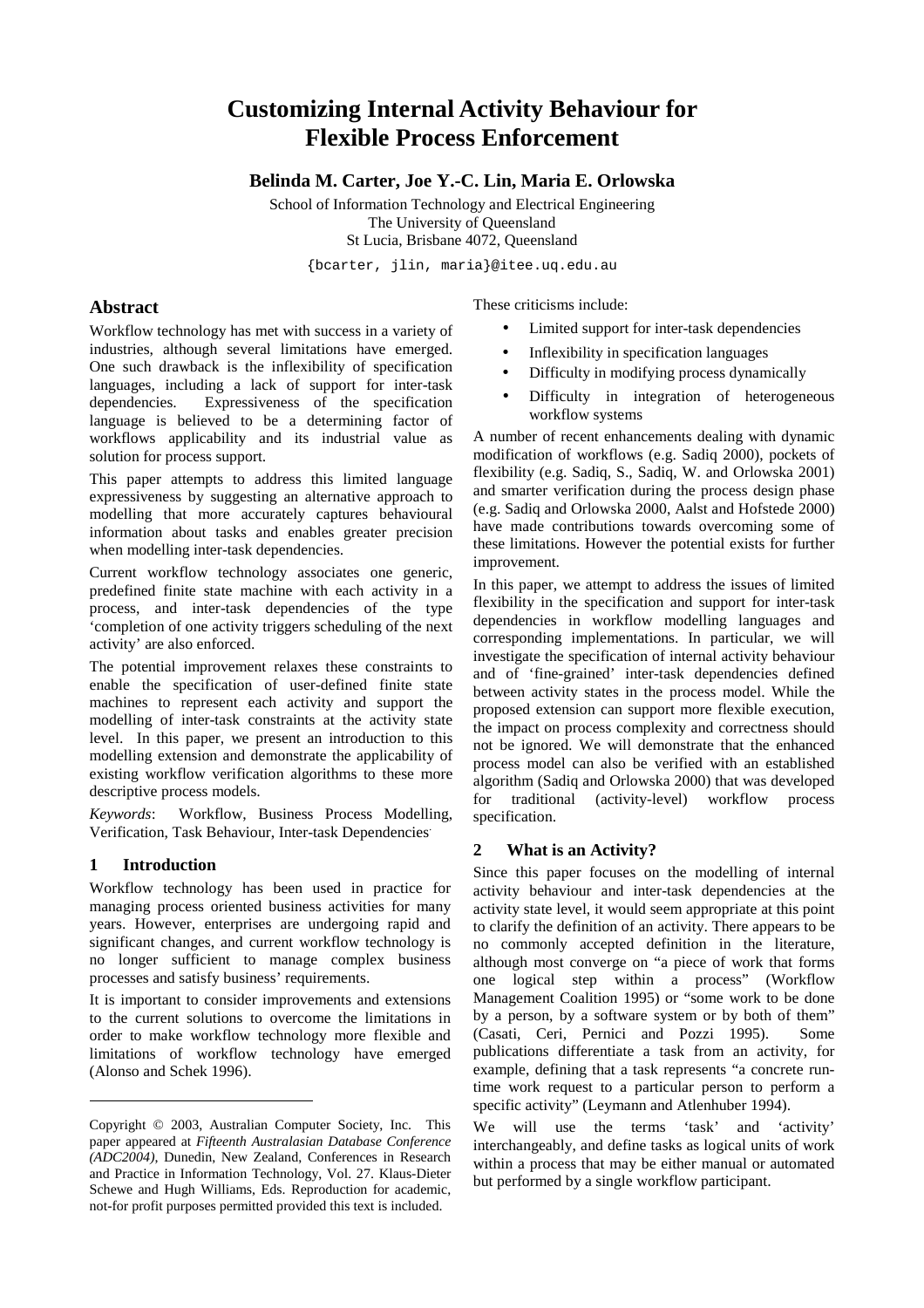# **Customizing Internal Activity Behaviour for Flexible Process Enforcement**

**Belinda M. Carter, Joe Y.-C. Lin, Maria E. Orlowska** 

School of Information Technology and Electrical Engineering The University of Queensland St Lucia, Brisbane 4072, Queensland

{bcarter, jlin, maria}@itee.uq.edu.au

# **Abstract**

Workflow technology has met with success in a variety of industries, although several limitations have emerged. One such drawback is the inflexibility of specification languages, including a lack of support for inter-task dependencies. Expressiveness of the specification language is believed to be a determining factor of workflows applicability and its industrial value as solution for process support.

This paper attempts to address this limited language expressiveness by suggesting an alternative approach to modelling that more accurately captures behavioural information about tasks and enables greater precision when modelling inter-task dependencies.

Current workflow technology associates one generic, predefined finite state machine with each activity in a process, and inter-task dependencies of the type 'completion of one activity triggers scheduling of the next activity' are also enforced.

The potential improvement relaxes these constraints to enable the specification of user-defined finite state machines to represent each activity and support the modelling of inter-task constraints at the activity state level. In this paper, we present an introduction to this modelling extension and demonstrate the applicability of existing workflow verification algorithms to these more descriptive process models.

*Keywords*: Workflow, Business Process Modelling, Verification, Task Behaviour, Inter-task Dependencies.

# **1 Introduction**

l

Workflow technology has been used in practice for managing process oriented business activities for many years. However, enterprises are undergoing rapid and significant changes, and current workflow technology is no longer sufficient to manage complex business processes and satisfy business' requirements.

It is important to consider improvements and extensions to the current solutions to overcome the limitations in order to make workflow technology more flexible and limitations of workflow technology have emerged (Alonso and Schek 1996).

These criticisms include:

- Limited support for inter-task dependencies
- Inflexibility in specification languages
- Difficulty in modifying process dynamically
- Difficulty in integration of heterogeneous workflow systems

A number of recent enhancements dealing with dynamic modification of workflows (e.g. Sadiq 2000), pockets of flexibility (e.g. Sadiq, S., Sadiq, W. and Orlowska 2001) and smarter verification during the process design phase (e.g. Sadiq and Orlowska 2000, Aalst and Hofstede 2000) have made contributions towards overcoming some of these limitations. However the potential exists for further improvement.

In this paper, we attempt to address the issues of limited flexibility in the specification and support for inter-task dependencies in workflow modelling languages and corresponding implementations. In particular, we will investigate the specification of internal activity behaviour and of 'fine-grained' inter-task dependencies defined between activity states in the process model. While the proposed extension can support more flexible execution, the impact on process complexity and correctness should not be ignored. We will demonstrate that the enhanced process model can also be verified with an established algorithm (Sadiq and Orlowska 2000) that was developed for traditional (activity-level) workflow process specification.

# **2 What is an Activity?**

Since this paper focuses on the modelling of internal activity behaviour and inter-task dependencies at the activity state level, it would seem appropriate at this point to clarify the definition of an activity. There appears to be no commonly accepted definition in the literature, although most converge on "a piece of work that forms one logical step within a process" (Workflow Management Coalition 1995) or "some work to be done by a person, by a software system or by both of them" (Casati, Ceri, Pernici and Pozzi 1995). Some publications differentiate a task from an activity, for example, defining that a task represents "a concrete runtime work request to a particular person to perform a specific activity" (Leymann and Atlenhuber 1994).

We will use the terms 'task' and 'activity' interchangeably, and define tasks as logical units of work within a process that may be either manual or automated but performed by a single workflow participant.

Copyright © 2003, Australian Computer Society, Inc. This paper appeared at *Fifteenth Australasian Database Conference (ADC2004)*, Dunedin, New Zealand, Conferences in Research and Practice in Information Technology, Vol. 27. Klaus-Dieter Schewe and Hugh Williams, Eds. Reproduction for academic, not-for profit purposes permitted provided this text is included.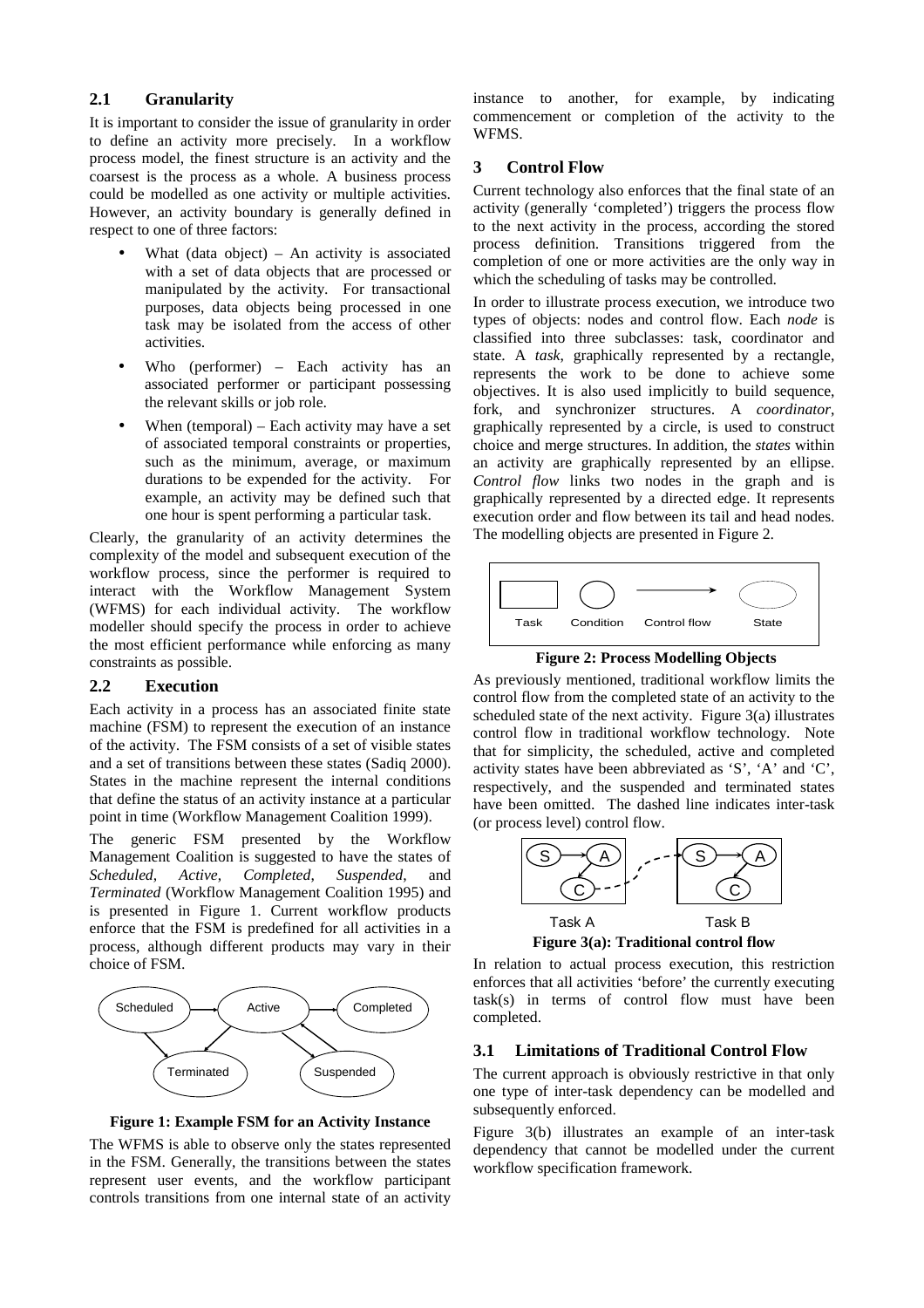## **2.1 Granularity**

It is important to consider the issue of granularity in order to define an activity more precisely. In a workflow process model, the finest structure is an activity and the coarsest is the process as a whole. A business process could be modelled as one activity or multiple activities. However, an activity boundary is generally defined in respect to one of three factors:

- What (data object) An activity is associated with a set of data objects that are processed or manipulated by the activity. For transactional purposes, data objects being processed in one task may be isolated from the access of other activities.
- Who (performer) Each activity has an associated performer or participant possessing the relevant skills or job role.
- When (temporal) Each activity may have a set of associated temporal constraints or properties, such as the minimum, average, or maximum durations to be expended for the activity. For example, an activity may be defined such that one hour is spent performing a particular task.

Clearly, the granularity of an activity determines the complexity of the model and subsequent execution of the workflow process, since the performer is required to interact with the Workflow Management System (WFMS) for each individual activity. The workflow modeller should specify the process in order to achieve the most efficient performance while enforcing as many constraints as possible.

## **2.2 Execution**

Each activity in a process has an associated finite state machine (FSM) to represent the execution of an instance of the activity. The FSM consists of a set of visible states and a set of transitions between these states (Sadiq 2000). States in the machine represent the internal conditions that define the status of an activity instance at a particular point in time (Workflow Management Coalition 1999).

The generic FSM presented by the Workflow Management Coalition is suggested to have the states of *Scheduled*, *Active*, *Completed*, *Suspended*, and *Terminated* (Workflow Management Coalition 1995) and is presented in Figure 1. Current workflow products enforce that the FSM is predefined for all activities in a process, although different products may vary in their choice of FSM.



**Figure 1: Example FSM for an Activity Instance** 

The WFMS is able to observe only the states represented in the FSM. Generally, the transitions between the states represent user events, and the workflow participant controls transitions from one internal state of an activity instance to another, for example, by indicating commencement or completion of the activity to the WFMS.

## **3 Control Flow**

Current technology also enforces that the final state of an activity (generally 'completed') triggers the process flow to the next activity in the process, according the stored process definition. Transitions triggered from the completion of one or more activities are the only way in which the scheduling of tasks may be controlled.

In order to illustrate process execution, we introduce two types of objects: nodes and control flow. Each *node* is classified into three subclasses: task, coordinator and state. A *task*, graphically represented by a rectangle, represents the work to be done to achieve some objectives. It is also used implicitly to build sequence, fork, and synchronizer structures. A *coordinator*, graphically represented by a circle, is used to construct choice and merge structures. In addition, the *states* within an activity are graphically represented by an ellipse. *Control flow* links two nodes in the graph and is graphically represented by a directed edge. It represents execution order and flow between its tail and head nodes. The modelling objects are presented in Figure 2.



 **Figure 2: Process Modelling Objects** 

As previously mentioned, traditional workflow limits the control flow from the completed state of an activity to the scheduled state of the next activity. Figure 3(a) illustrates control flow in traditional workflow technology. Note that for simplicity, the scheduled, active and completed activity states have been abbreviated as 'S', 'A' and 'C', respectively, and the suspended and terminated states have been omitted. The dashed line indicates inter-task (or process level) control flow.



**Figure 3(a): Traditional control flow** 

In relation to actual process execution, this restriction enforces that all activities 'before' the currently executing task(s) in terms of control flow must have been completed.

# **3.1 Limitations of Traditional Control Flow**

The current approach is obviously restrictive in that only one type of inter-task dependency can be modelled and subsequently enforced.

Figure 3(b) illustrates an example of an inter-task dependency that cannot be modelled under the current workflow specification framework.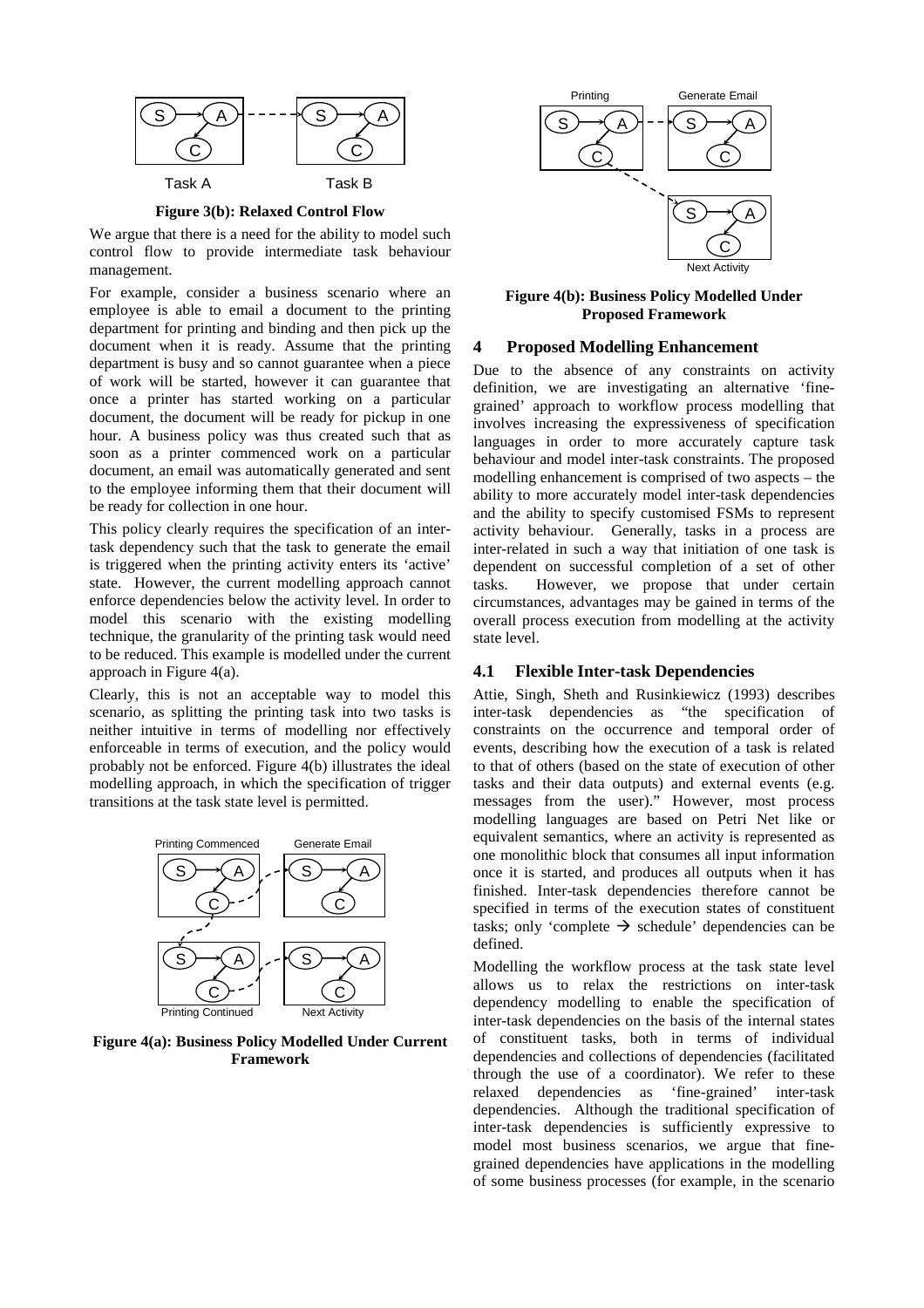

**Figure 3(b): Relaxed Control Flow** 

We argue that there is a need for the ability to model such control flow to provide intermediate task behaviour management.

For example, consider a business scenario where an employee is able to email a document to the printing department for printing and binding and then pick up the document when it is ready. Assume that the printing department is busy and so cannot guarantee when a piece of work will be started, however it can guarantee that once a printer has started working on a particular document, the document will be ready for pickup in one hour. A business policy was thus created such that as soon as a printer commenced work on a particular document, an email was automatically generated and sent to the employee informing them that their document will be ready for collection in one hour.

This policy clearly requires the specification of an intertask dependency such that the task to generate the email is triggered when the printing activity enters its 'active' state. However, the current modelling approach cannot enforce dependencies below the activity level. In order to model this scenario with the existing modelling technique, the granularity of the printing task would need to be reduced. This example is modelled under the current approach in Figure 4(a).

Clearly, this is not an acceptable way to model this scenario, as splitting the printing task into two tasks is neither intuitive in terms of modelling nor effectively enforceable in terms of execution, and the policy would probably not be enforced. Figure 4(b) illustrates the ideal modelling approach, in which the specification of trigger transitions at the task state level is permitted.



**Figure 4(a): Business Policy Modelled Under Current Framework**



**Figure 4(b): Business Policy Modelled Under Proposed Framework** 

#### **4 Proposed Modelling Enhancement**

Due to the absence of any constraints on activity definition, we are investigating an alternative 'finegrained' approach to workflow process modelling that involves increasing the expressiveness of specification languages in order to more accurately capture task behaviour and model inter-task constraints. The proposed modelling enhancement is comprised of two aspects – the ability to more accurately model inter-task dependencies and the ability to specify customised FSMs to represent activity behaviour. Generally, tasks in a process are inter-related in such a way that initiation of one task is dependent on successful completion of a set of other tasks. However, we propose that under certain circumstances, advantages may be gained in terms of the overall process execution from modelling at the activity state level.

#### **4.1 Flexible Inter-task Dependencies**

Attie, Singh, Sheth and Rusinkiewicz (1993) describes inter-task dependencies as "the specification of constraints on the occurrence and temporal order of events, describing how the execution of a task is related to that of others (based on the state of execution of other tasks and their data outputs) and external events (e.g. messages from the user)." However, most process modelling languages are based on Petri Net like or equivalent semantics, where an activity is represented as one monolithic block that consumes all input information once it is started, and produces all outputs when it has finished. Inter-task dependencies therefore cannot be specified in terms of the execution states of constituent tasks; only 'complete  $\rightarrow$  schedule' dependencies can be defined.

Modelling the workflow process at the task state level allows us to relax the restrictions on inter-task dependency modelling to enable the specification of inter-task dependencies on the basis of the internal states of constituent tasks, both in terms of individual dependencies and collections of dependencies (facilitated through the use of a coordinator). We refer to these<br>relaxed dependencies as 'fine-grained' inter-task relaxed dependencies as 'fine-grained' inter-task dependencies. Although the traditional specification of inter-task dependencies is sufficiently expressive to model most business scenarios, we argue that finegrained dependencies have applications in the modelling of some business processes (for example, in the scenario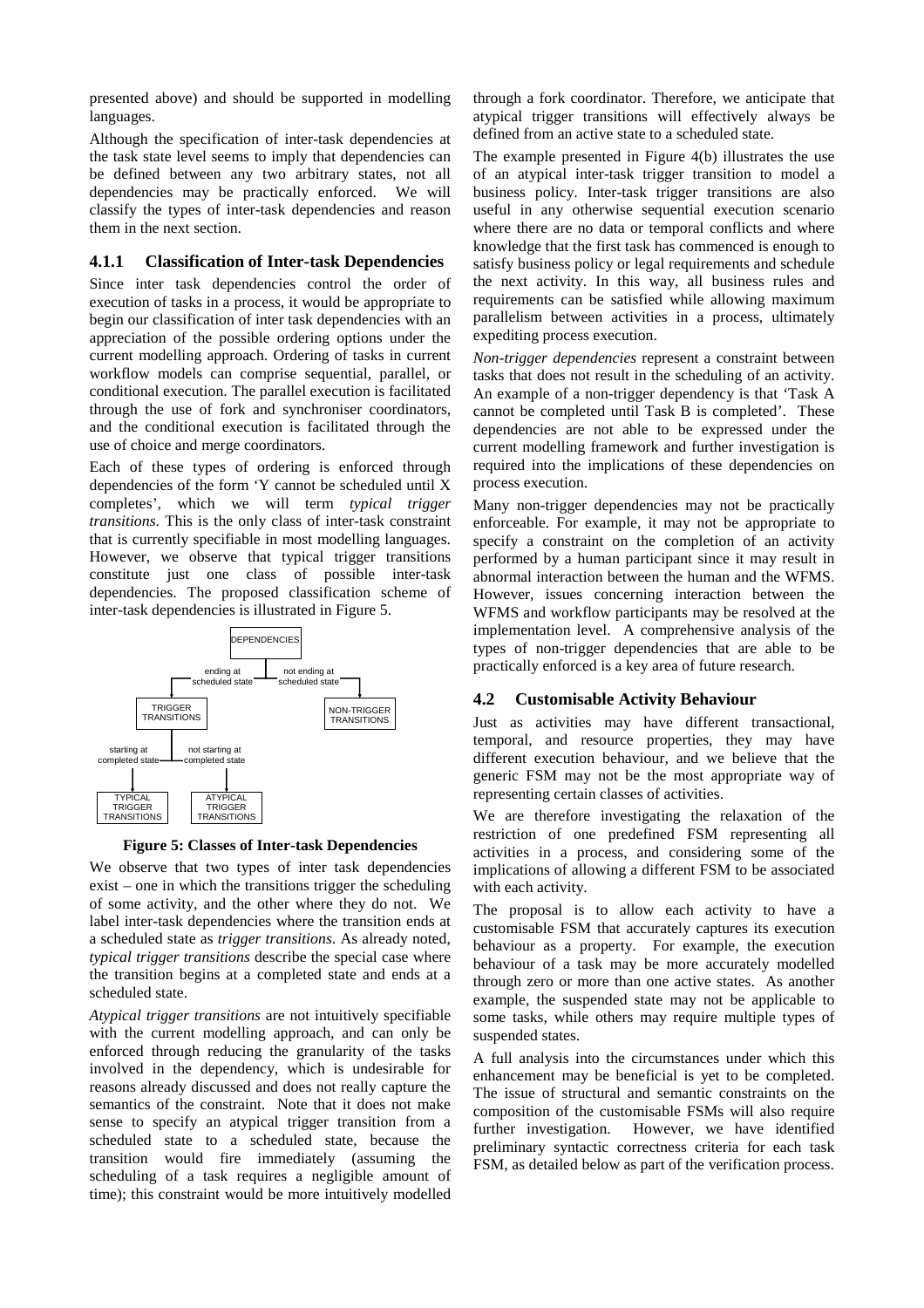presented above) and should be supported in modelling languages.

Although the specification of inter-task dependencies at the task state level seems to imply that dependencies can be defined between any two arbitrary states, not all dependencies may be practically enforced. We will classify the types of inter-task dependencies and reason them in the next section.

#### **4.1.1 Classification of Inter-task Dependencies**

Since inter task dependencies control the order of execution of tasks in a process, it would be appropriate to begin our classification of inter task dependencies with an appreciation of the possible ordering options under the current modelling approach. Ordering of tasks in current workflow models can comprise sequential, parallel, or conditional execution. The parallel execution is facilitated through the use of fork and synchroniser coordinators, and the conditional execution is facilitated through the use of choice and merge coordinators.

Each of these types of ordering is enforced through dependencies of the form 'Y cannot be scheduled until X completes', which we will term *typical trigger transitions*. This is the only class of inter-task constraint that is currently specifiable in most modelling languages. However, we observe that typical trigger transitions constitute just one class of possible inter-task dependencies. The proposed classification scheme of inter-task dependencies is illustrated in Figure 5.



**Figure 5: Classes of Inter-task Dependencies**

We observe that two types of inter task dependencies exist – one in which the transitions trigger the scheduling of some activity, and the other where they do not. We label inter-task dependencies where the transition ends at a scheduled state as *trigger transitions*. As already noted, *typical trigger transitions* describe the special case where the transition begins at a completed state and ends at a scheduled state.

*Atypical trigger transitions* are not intuitively specifiable with the current modelling approach, and can only be enforced through reducing the granularity of the tasks involved in the dependency, which is undesirable for reasons already discussed and does not really capture the semantics of the constraint. Note that it does not make sense to specify an atypical trigger transition from a scheduled state to a scheduled state, because the transition would fire immediately (assuming the scheduling of a task requires a negligible amount of time); this constraint would be more intuitively modelled

through a fork coordinator. Therefore, we anticipate that atypical trigger transitions will effectively always be defined from an active state to a scheduled state.

The example presented in Figure 4(b) illustrates the use of an atypical inter-task trigger transition to model a business policy. Inter-task trigger transitions are also useful in any otherwise sequential execution scenario where there are no data or temporal conflicts and where knowledge that the first task has commenced is enough to satisfy business policy or legal requirements and schedule the next activity. In this way, all business rules and requirements can be satisfied while allowing maximum parallelism between activities in a process, ultimately expediting process execution.

*Non-trigger dependencies* represent a constraint between tasks that does not result in the scheduling of an activity. An example of a non-trigger dependency is that 'Task A cannot be completed until Task B is completed'. These dependencies are not able to be expressed under the current modelling framework and further investigation is required into the implications of these dependencies on process execution.

Many non-trigger dependencies may not be practically enforceable. For example, it may not be appropriate to specify a constraint on the completion of an activity performed by a human participant since it may result in abnormal interaction between the human and the WFMS. However, issues concerning interaction between the WFMS and workflow participants may be resolved at the implementation level. A comprehensive analysis of the types of non-trigger dependencies that are able to be practically enforced is a key area of future research.

## **4.2 Customisable Activity Behaviour**

Just as activities may have different transactional, temporal, and resource properties, they may have different execution behaviour, and we believe that the generic FSM may not be the most appropriate way of representing certain classes of activities.

We are therefore investigating the relaxation of the restriction of one predefined FSM representing all activities in a process, and considering some of the implications of allowing a different FSM to be associated with each activity.

The proposal is to allow each activity to have a customisable FSM that accurately captures its execution behaviour as a property. For example, the execution behaviour of a task may be more accurately modelled through zero or more than one active states. As another example, the suspended state may not be applicable to some tasks, while others may require multiple types of suspended states.

A full analysis into the circumstances under which this enhancement may be beneficial is yet to be completed. The issue of structural and semantic constraints on the composition of the customisable FSMs will also require further investigation. However, we have identified preliminary syntactic correctness criteria for each task FSM, as detailed below as part of the verification process.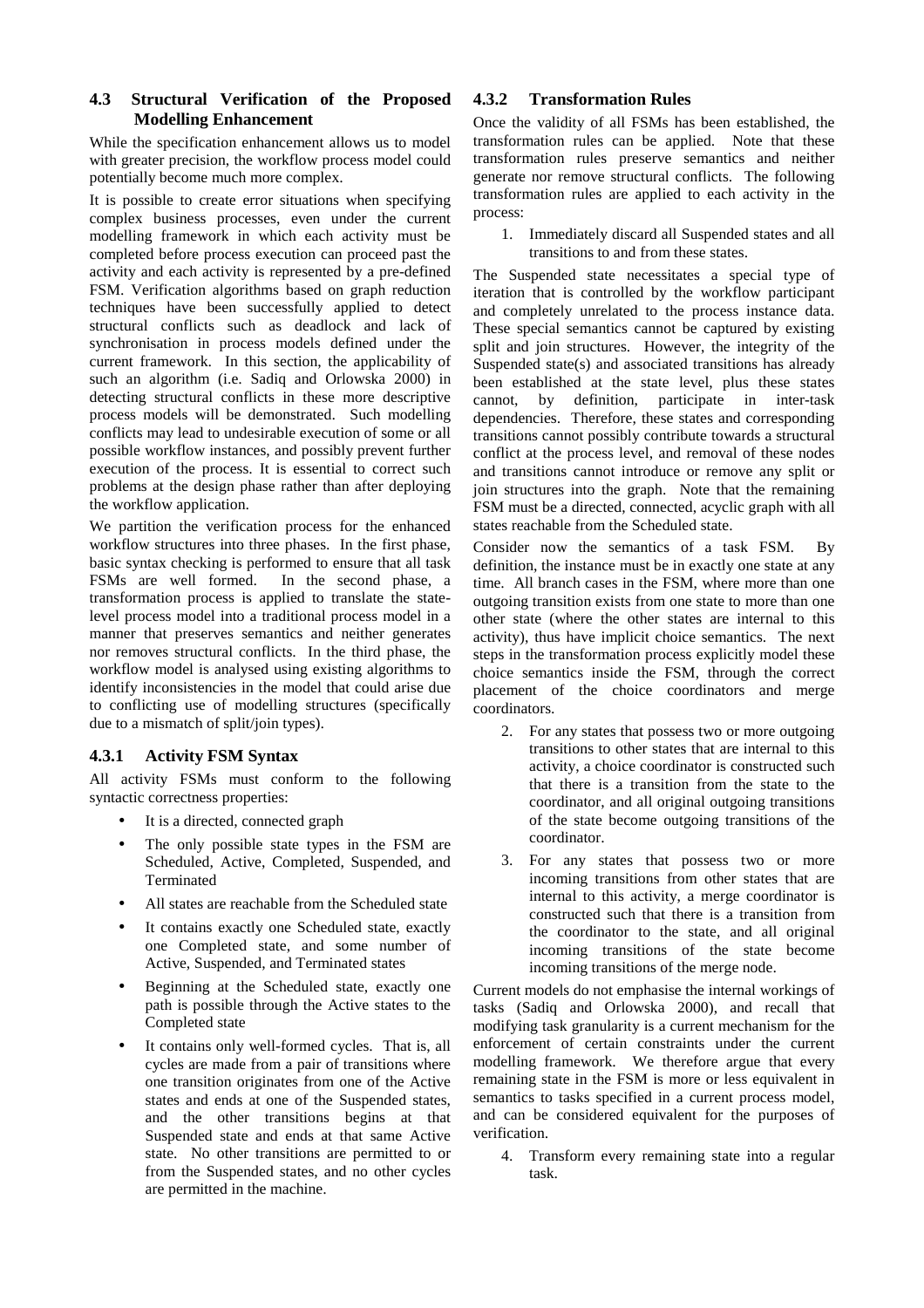## **4.3 Structural Verification of the Proposed Modelling Enhancement**

While the specification enhancement allows us to model with greater precision, the workflow process model could potentially become much more complex.

It is possible to create error situations when specifying complex business processes, even under the current modelling framework in which each activity must be completed before process execution can proceed past the activity and each activity is represented by a pre-defined FSM. Verification algorithms based on graph reduction techniques have been successfully applied to detect structural conflicts such as deadlock and lack of synchronisation in process models defined under the current framework. In this section, the applicability of such an algorithm (i.e. Sadiq and Orlowska 2000) in detecting structural conflicts in these more descriptive process models will be demonstrated. Such modelling conflicts may lead to undesirable execution of some or all possible workflow instances, and possibly prevent further execution of the process. It is essential to correct such problems at the design phase rather than after deploying the workflow application.

We partition the verification process for the enhanced workflow structures into three phases. In the first phase, basic syntax checking is performed to ensure that all task FSMs are well formed. In the second phase, a transformation process is applied to translate the statelevel process model into a traditional process model in a manner that preserves semantics and neither generates nor removes structural conflicts. In the third phase, the workflow model is analysed using existing algorithms to identify inconsistencies in the model that could arise due to conflicting use of modelling structures (specifically due to a mismatch of split/join types).

# **4.3.1 Activity FSM Syntax**

All activity FSMs must conform to the following syntactic correctness properties:

- It is a directed, connected graph
- The only possible state types in the FSM are Scheduled, Active, Completed, Suspended, and Terminated
- All states are reachable from the Scheduled state
- It contains exactly one Scheduled state, exactly one Completed state, and some number of Active, Suspended, and Terminated states
- Beginning at the Scheduled state, exactly one path is possible through the Active states to the Completed state
- It contains only well-formed cycles. That is, all cycles are made from a pair of transitions where one transition originates from one of the Active states and ends at one of the Suspended states, and the other transitions begins at that Suspended state and ends at that same Active state. No other transitions are permitted to or from the Suspended states, and no other cycles are permitted in the machine.

## **4.3.2 Transformation Rules**

Once the validity of all FSMs has been established, the transformation rules can be applied. Note that these transformation rules preserve semantics and neither generate nor remove structural conflicts. The following transformation rules are applied to each activity in the process:

1. Immediately discard all Suspended states and all transitions to and from these states.

The Suspended state necessitates a special type of iteration that is controlled by the workflow participant and completely unrelated to the process instance data. These special semantics cannot be captured by existing split and join structures. However, the integrity of the Suspended state(s) and associated transitions has already been established at the state level, plus these states cannot, by definition, participate in inter-task dependencies. Therefore, these states and corresponding transitions cannot possibly contribute towards a structural conflict at the process level, and removal of these nodes and transitions cannot introduce or remove any split or join structures into the graph. Note that the remaining FSM must be a directed, connected, acyclic graph with all states reachable from the Scheduled state.

Consider now the semantics of a task FSM. By definition, the instance must be in exactly one state at any time. All branch cases in the FSM, where more than one outgoing transition exists from one state to more than one other state (where the other states are internal to this activity), thus have implicit choice semantics. The next steps in the transformation process explicitly model these choice semantics inside the FSM, through the correct placement of the choice coordinators and merge coordinators.

- 2. For any states that possess two or more outgoing transitions to other states that are internal to this activity, a choice coordinator is constructed such that there is a transition from the state to the coordinator, and all original outgoing transitions of the state become outgoing transitions of the coordinator.
- 3. For any states that possess two or more incoming transitions from other states that are internal to this activity, a merge coordinator is constructed such that there is a transition from the coordinator to the state, and all original incoming transitions of the state become incoming transitions of the merge node.

Current models do not emphasise the internal workings of tasks (Sadiq and Orlowska 2000), and recall that modifying task granularity is a current mechanism for the enforcement of certain constraints under the current modelling framework. We therefore argue that every remaining state in the FSM is more or less equivalent in semantics to tasks specified in a current process model, and can be considered equivalent for the purposes of verification.

4. Transform every remaining state into a regular task.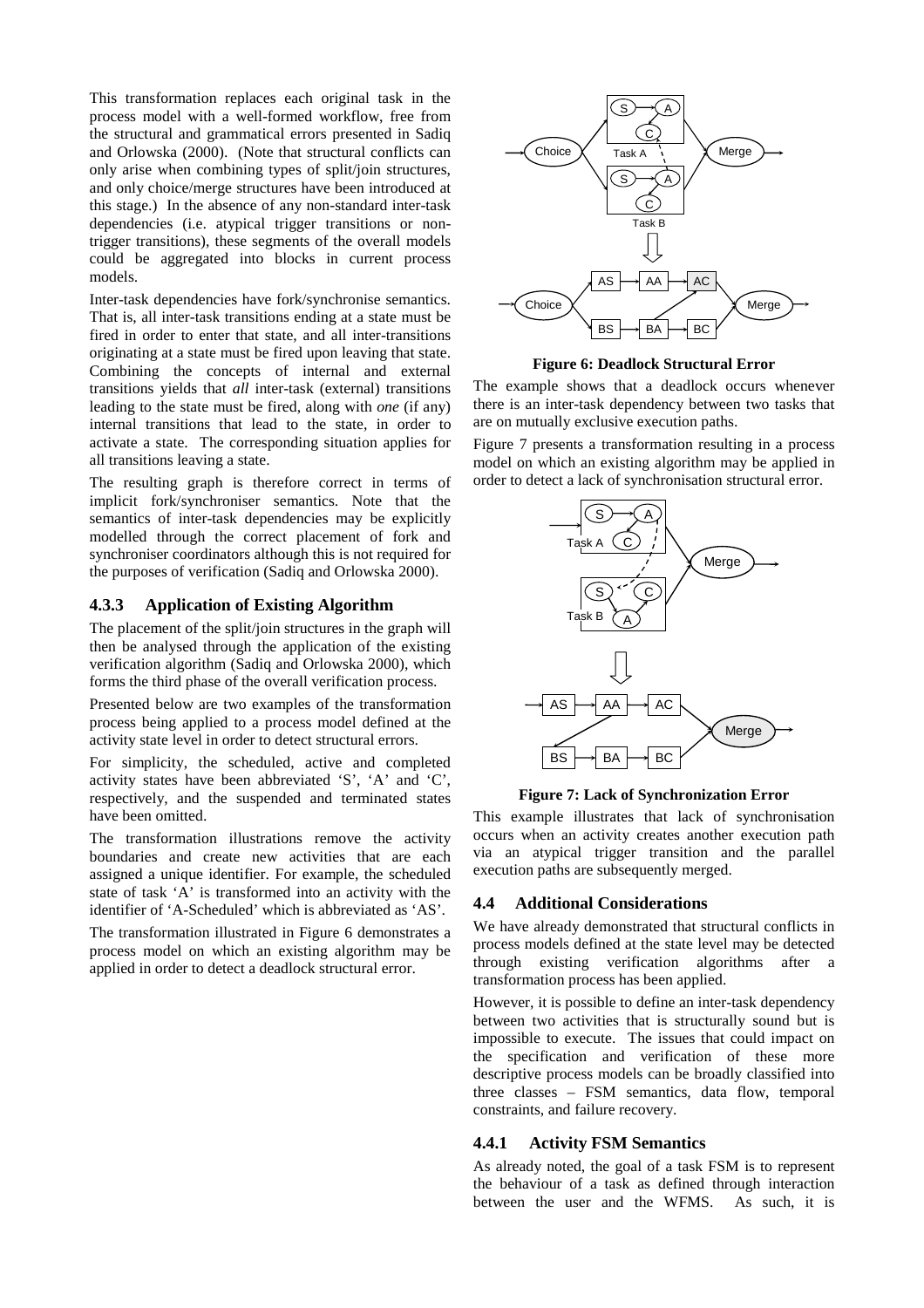This transformation replaces each original task in the process model with a well-formed workflow, free from the structural and grammatical errors presented in Sadiq and Orlowska (2000). (Note that structural conflicts can only arise when combining types of split/join structures, and only choice/merge structures have been introduced at this stage.) In the absence of any non-standard inter-task dependencies (i.e. atypical trigger transitions or nontrigger transitions), these segments of the overall models could be aggregated into blocks in current process models.

Inter-task dependencies have fork/synchronise semantics. That is, all inter-task transitions ending at a state must be fired in order to enter that state, and all inter-transitions originating at a state must be fired upon leaving that state. Combining the concepts of internal and external transitions yields that *all* inter-task (external) transitions leading to the state must be fired, along with *one* (if any) internal transitions that lead to the state, in order to activate a state. The corresponding situation applies for all transitions leaving a state.

The resulting graph is therefore correct in terms of implicit fork/synchroniser semantics. Note that the semantics of inter-task dependencies may be explicitly modelled through the correct placement of fork and synchroniser coordinators although this is not required for the purposes of verification (Sadiq and Orlowska 2000).

#### **4.3.3 Application of Existing Algorithm**

The placement of the split/join structures in the graph will then be analysed through the application of the existing verification algorithm (Sadiq and Orlowska 2000), which forms the third phase of the overall verification process.

Presented below are two examples of the transformation process being applied to a process model defined at the activity state level in order to detect structural errors.

For simplicity, the scheduled, active and completed activity states have been abbreviated 'S', 'A' and 'C', respectively, and the suspended and terminated states have been omitted.

The transformation illustrations remove the activity boundaries and create new activities that are each assigned a unique identifier. For example, the scheduled state of task 'A' is transformed into an activity with the identifier of 'A-Scheduled' which is abbreviated as 'AS'.

The transformation illustrated in Figure 6 demonstrates a process model on which an existing algorithm may be applied in order to detect a deadlock structural error.



**Figure 6: Deadlock Structural Error** 

The example shows that a deadlock occurs whenever there is an inter-task dependency between two tasks that are on mutually exclusive execution paths.

Figure 7 presents a transformation resulting in a process model on which an existing algorithm may be applied in order to detect a lack of synchronisation structural error.



**Figure 7: Lack of Synchronization Error** 

This example illustrates that lack of synchronisation occurs when an activity creates another execution path via an atypical trigger transition and the parallel execution paths are subsequently merged.

## **4.4 Additional Considerations**

We have already demonstrated that structural conflicts in process models defined at the state level may be detected through existing verification algorithms after a transformation process has been applied.

However, it is possible to define an inter-task dependency between two activities that is structurally sound but is impossible to execute. The issues that could impact on the specification and verification of these more descriptive process models can be broadly classified into three classes – FSM semantics, data flow, temporal constraints, and failure recovery.

#### **4.4.1 Activity FSM Semantics**

As already noted, the goal of a task FSM is to represent the behaviour of a task as defined through interaction between the user and the WFMS. As such, it is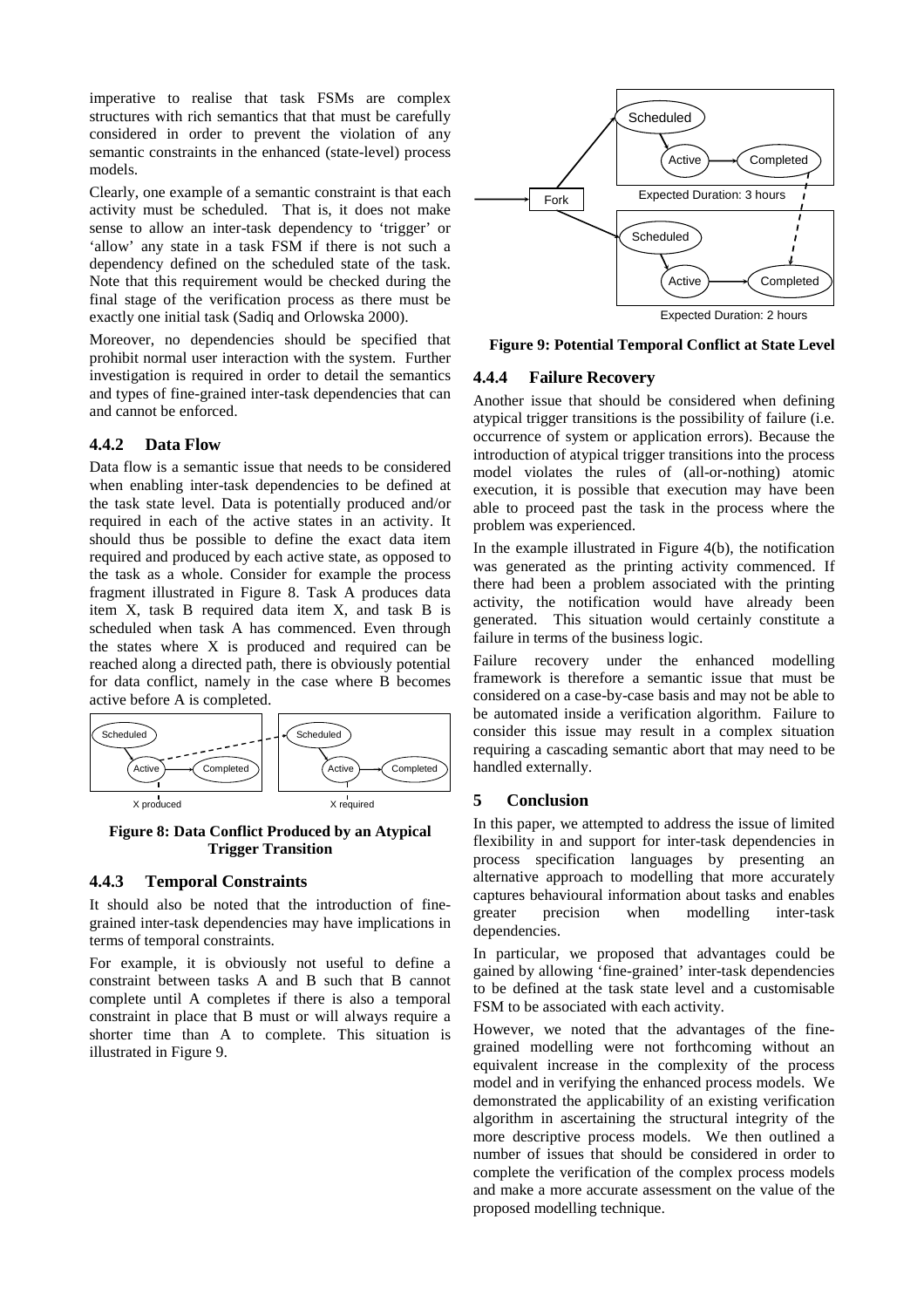imperative to realise that task FSMs are complex structures with rich semantics that that must be carefully considered in order to prevent the violation of any semantic constraints in the enhanced (state-level) process models.

Clearly, one example of a semantic constraint is that each activity must be scheduled. That is, it does not make sense to allow an inter-task dependency to 'trigger' or 'allow' any state in a task FSM if there is not such a dependency defined on the scheduled state of the task. Note that this requirement would be checked during the final stage of the verification process as there must be exactly one initial task (Sadiq and Orlowska 2000).

Moreover, no dependencies should be specified that prohibit normal user interaction with the system. Further investigation is required in order to detail the semantics and types of fine-grained inter-task dependencies that can and cannot be enforced.

## **4.4.2 Data Flow**

Data flow is a semantic issue that needs to be considered when enabling inter-task dependencies to be defined at the task state level. Data is potentially produced and/or required in each of the active states in an activity. It should thus be possible to define the exact data item required and produced by each active state, as opposed to the task as a whole. Consider for example the process fragment illustrated in Figure 8. Task A produces data item X, task B required data item X, and task B is scheduled when task A has commenced. Even through the states where X is produced and required can be reached along a directed path, there is obviously potential for data conflict, namely in the case where B becomes active before A is completed.



**Figure 8: Data Conflict Produced by an Atypical Trigger Transition** 

## **4.4.3 Temporal Constraints**

It should also be noted that the introduction of finegrained inter-task dependencies may have implications in terms of temporal constraints.

For example, it is obviously not useful to define a constraint between tasks A and B such that B cannot complete until A completes if there is also a temporal constraint in place that B must or will always require a shorter time than A to complete. This situation is illustrated in Figure 9.



**Figure 9: Potential Temporal Conflict at State Level** 

# **4.4.4 Failure Recovery**

Another issue that should be considered when defining atypical trigger transitions is the possibility of failure (i.e. occurrence of system or application errors). Because the introduction of atypical trigger transitions into the process model violates the rules of (all-or-nothing) atomic execution, it is possible that execution may have been able to proceed past the task in the process where the problem was experienced.

In the example illustrated in Figure 4(b), the notification was generated as the printing activity commenced. If there had been a problem associated with the printing activity, the notification would have already been generated. This situation would certainly constitute a failure in terms of the business logic.

Failure recovery under the enhanced modelling framework is therefore a semantic issue that must be considered on a case-by-case basis and may not be able to be automated inside a verification algorithm. Failure to consider this issue may result in a complex situation requiring a cascading semantic abort that may need to be handled externally.

# **5 Conclusion**

In this paper, we attempted to address the issue of limited flexibility in and support for inter-task dependencies in process specification languages by presenting an alternative approach to modelling that more accurately captures behavioural information about tasks and enables greater precision when modelling inter-task dependencies.

In particular, we proposed that advantages could be gained by allowing 'fine-grained' inter-task dependencies to be defined at the task state level and a customisable FSM to be associated with each activity.

However, we noted that the advantages of the finegrained modelling were not forthcoming without an equivalent increase in the complexity of the process model and in verifying the enhanced process models. We demonstrated the applicability of an existing verification algorithm in ascertaining the structural integrity of the more descriptive process models. We then outlined a number of issues that should be considered in order to complete the verification of the complex process models and make a more accurate assessment on the value of the proposed modelling technique.